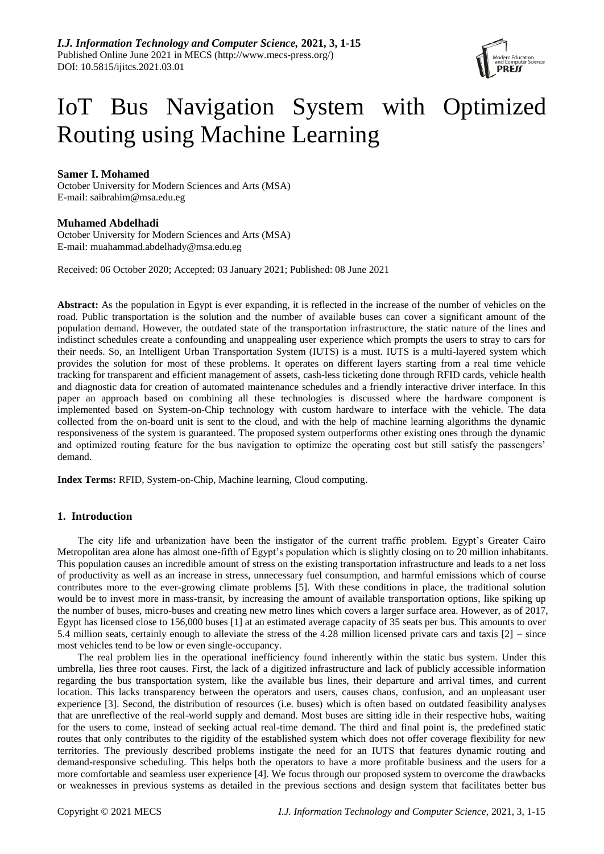

# IoT Bus Navigation System with Optimized Routing using Machine Learning

# **Samer I. Mohamed**

October University for Modern Sciences and Arts (MSA) E-mail: saibrahim@msa.edu.eg

# **Muhamed Abdelhadi**

October University for Modern Sciences and Arts (MSA) E-mail: [muahammad.abdelhady@msa.edu.eg](mailto:muahammad.abdelhady@msa.edu.eg)

Received: 06 October 2020; Accepted: 03 January 2021; Published: 08 June 2021

**Abstract:** As the population in Egypt is ever expanding, it is reflected in the increase of the number of vehicles on the road. Public transportation is the solution and the number of available buses can cover a significant amount of the population demand. However, the outdated state of the transportation infrastructure, the static nature of the lines and indistinct schedules create a confounding and unappealing user experience which prompts the users to stray to cars for their needs. So, an Intelligent Urban Transportation System (IUTS) is a must. IUTS is a multi-layered system which provides the solution for most of these problems. It operates on different layers starting from a real time vehicle tracking for transparent and efficient management of assets, cash-less ticketing done through RFID cards, vehicle health and diagnostic data for creation of automated maintenance schedules and a friendly interactive driver interface. In this paper an approach based on combining all these technologies is discussed where the hardware component is implemented based on System-on-Chip technology with custom hardware to interface with the vehicle. The data collected from the on-board unit is sent to the cloud, and with the help of machine learning algorithms the dynamic responsiveness of the system is guaranteed. The proposed system outperforms other existing ones through the dynamic and optimized routing feature for the bus navigation to optimize the operating cost but still satisfy the passengers' demand.

**Index Terms:** RFID, System-on-Chip, Machine learning, Cloud computing.

## **1. Introduction**

The city life and urbanization have been the instigator of the current traffic problem. Egypt's Greater Cairo Metropolitan area alone has almost one-fifth of Egypt's population which is slightly closing on to 20 million inhabitants. This population causes an incredible amount of stress on the existing transportation infrastructure and leads to a net loss of productivity as well as an increase in stress, unnecessary fuel consumption, and harmful emissions which of course contributes more to the ever-growing climate problems [5]. With these conditions in place, the traditional solution would be to invest more in mass-transit, by increasing the amount of available transportation options, like spiking up the number of buses, micro-buses and creating new metro lines which covers a larger surface area. However, as of 2017, Egypt has licensed close to 156,000 buses [1] at an estimated average capacity of 35 seats per bus. This amounts to over 5.4 million seats, certainly enough to alleviate the stress of the 4.28 million licensed private cars and taxis [2] – since most vehicles tend to be low or even single-occupancy.

The real problem lies in the operational inefficiency found inherently within the static bus system. Under this umbrella, lies three root causes. First, the lack of a digitized infrastructure and lack of publicly accessible information regarding the bus transportation system, like the available bus lines, their departure and arrival times, and current location. This lacks transparency between the operators and users, causes chaos, confusion, and an unpleasant user experience [3]. Second, the distribution of resources (i.e. buses) which is often based on outdated feasibility analyses that are unreflective of the real-world supply and demand. Most buses are sitting idle in their respective hubs, waiting for the users to come, instead of seeking actual real-time demand. The third and final point is, the predefined static routes that only contributes to the rigidity of the established system which does not offer coverage flexibility for new territories. The previously described problems instigate the need for an IUTS that features dynamic routing and demand-responsive scheduling. This helps both the operators to have a more profitable business and the users for a more comfortable and seamless user experience [4]. We focus through our proposed system to overcome the drawbacks or weaknesses in previous systems as detailed in the previous sections and design system that facilitates better bus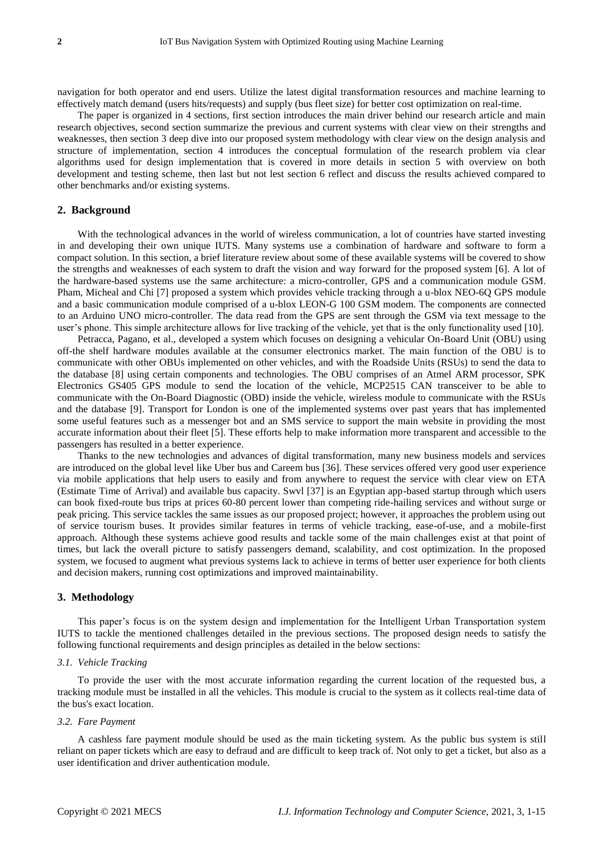navigation for both operator and end users. Utilize the latest digital transformation resources and machine learning to effectively match demand (users hits/requests) and supply (bus fleet size) for better cost optimization on real-time.

The paper is organized in 4 sections, first section introduces the main driver behind our research article and main research objectives, second section summarize the previous and current systems with clear view on their strengths and weaknesses, then section 3 deep dive into our proposed system methodology with clear view on the design analysis and structure of implementation, section 4 introduces the conceptual formulation of the research problem via clear algorithms used for design implementation that is covered in more details in section 5 with overview on both development and testing scheme, then last but not lest section 6 reflect and discuss the results achieved compared to other benchmarks and/or existing systems.

## **2. Background**

With the technological advances in the world of wireless communication, a lot of countries have started investing in and developing their own unique IUTS. Many systems use a combination of hardware and software to form a compact solution. In this section, a brief literature review about some of these available systems will be covered to show the strengths and weaknesses of each system to draft the vision and way forward for the proposed system [6]. A lot of the hardware-based systems use the same architecture: a micro-controller, GPS and a communication module GSM. Pham, Micheal and Chi [7] proposed a system which provides vehicle tracking through a u-blox NEO-6Q GPS module and a basic communication module comprised of a u-blox LEON-G 100 GSM modem. The components are connected to an Arduino UNO micro-controller. The data read from the GPS are sent through the GSM via text message to the user's phone. This simple architecture allows for live tracking of the vehicle, yet that is the only functionality used [10].

Petracca, Pagano, et al., developed a system which focuses on designing a vehicular On-Board Unit (OBU) using off-the shelf hardware modules available at the consumer electronics market. The main function of the OBU is to communicate with other OBUs implemented on other vehicles, and with the Roadside Units (RSUs) to send the data to the database [8] using certain components and technologies. The OBU comprises of an Atmel ARM processor, SPK Electronics GS405 GPS module to send the location of the vehicle, MCP2515 CAN transceiver to be able to communicate with the On-Board Diagnostic (OBD) inside the vehicle, wireless module to communicate with the RSUs and the database [9]. Transport for London is one of the implemented systems over past years that has implemented some useful features such as a messenger bot and an SMS service to support the main website in providing the most accurate information about their fleet [5]. These efforts help to make information more transparent and accessible to the passengers has resulted in a better experience.

Thanks to the new technologies and advances of digital transformation, many new business models and services are introduced on the global level like Uber bus and Careem bus [36]. These services offered very good user experience via mobile applications that help users to easily and from anywhere to request the service with clear view on ETA (Estimate Time of Arrival) and available bus capacity. Swvl [37] is an Egyptian app-based startup through which users can book fixed-route bus trips at prices 60-80 percent lower than competing ride-hailing services and without surge or peak pricing. This service tackles the same issues as our proposed project; however, it approaches the problem using out of service tourism buses. It provides similar features in terms of vehicle tracking, ease-of-use, and a mobile-first approach. Although these systems achieve good results and tackle some of the main challenges exist at that point of times, but lack the overall picture to satisfy passengers demand, scalability, and cost optimization. In the proposed system, we focused to augment what previous systems lack to achieve in terms of better user experience for both clients and decision makers, running cost optimizations and improved maintainability.

## **3. Methodology**

This paper's focus is on the system design and implementation for the Intelligent Urban Transportation system IUTS to tackle the mentioned challenges detailed in the previous sections. The proposed design needs to satisfy the following functional requirements and design principles as detailed in the below sections:

## *3.1. Vehicle Tracking*

To provide the user with the most accurate information regarding the current location of the requested bus, a tracking module must be installed in all the vehicles. This module is crucial to the system as it collects real-time data of the bus's exact location.

## *3.2. Fare Payment*

A cashless fare payment module should be used as the main ticketing system. As the public bus system is still reliant on paper tickets which are easy to defraud and are difficult to keep track of. Not only to get a ticket, but also as a user identification and driver authentication module.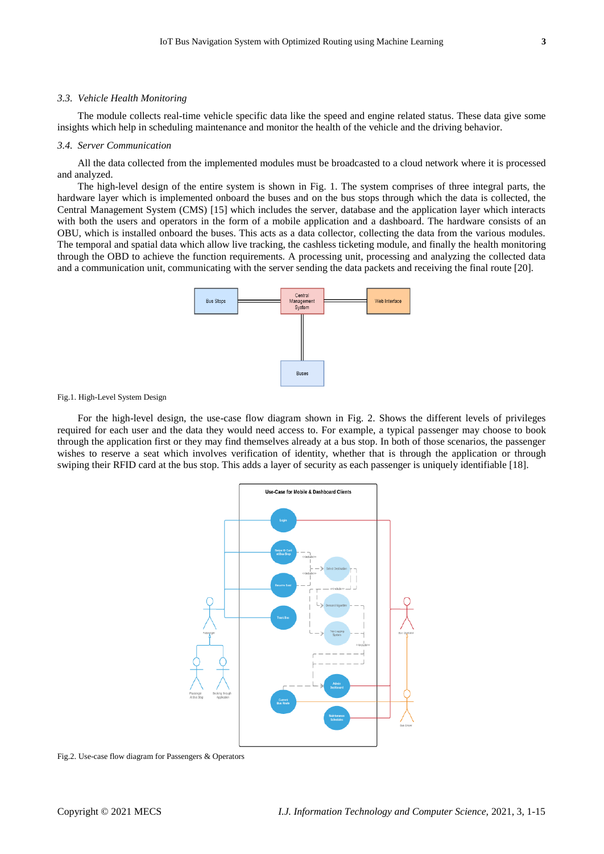## *3.3. Vehicle Health Monitoring*

The module collects real-time vehicle specific data like the speed and engine related status. These data give some insights which help in scheduling maintenance and monitor the health of the vehicle and the driving behavior.

## *3.4. Server Communication*

All the data collected from the implemented modules must be broadcasted to a cloud network where it is processed and analyzed.

The high-level design of the entire system is shown in Fig. 1. The system comprises of three integral parts, the hardware layer which is implemented onboard the buses and on the bus stops through which the data is collected, the Central Management System (CMS) [15] which includes the server, database and the application layer which interacts with both the users and operators in the form of a mobile application and a dashboard. The hardware consists of an OBU, which is installed onboard the buses. This acts as a data collector, collecting the data from the various modules. The temporal and spatial data which allow live tracking, the cashless ticketing module, and finally the health monitoring through the OBD to achieve the function requirements. A processing unit, processing and analyzing the collected data and a communication unit, communicating with the server sending the data packets and receiving the final route [20].



Fig.1. High-Level System Design

For the high-level design, the use-case flow diagram shown in Fig. 2. Shows the different levels of privileges required for each user and the data they would need access to. For example, a typical passenger may choose to book through the application first or they may find themselves already at a bus stop. In both of those scenarios, the passenger wishes to reserve a seat which involves verification of identity, whether that is through the application or through swiping their RFID card at the bus stop. This adds a layer of security as each passenger is uniquely identifiable [18].



Fig.2. Use-case flow diagram for Passengers & Operators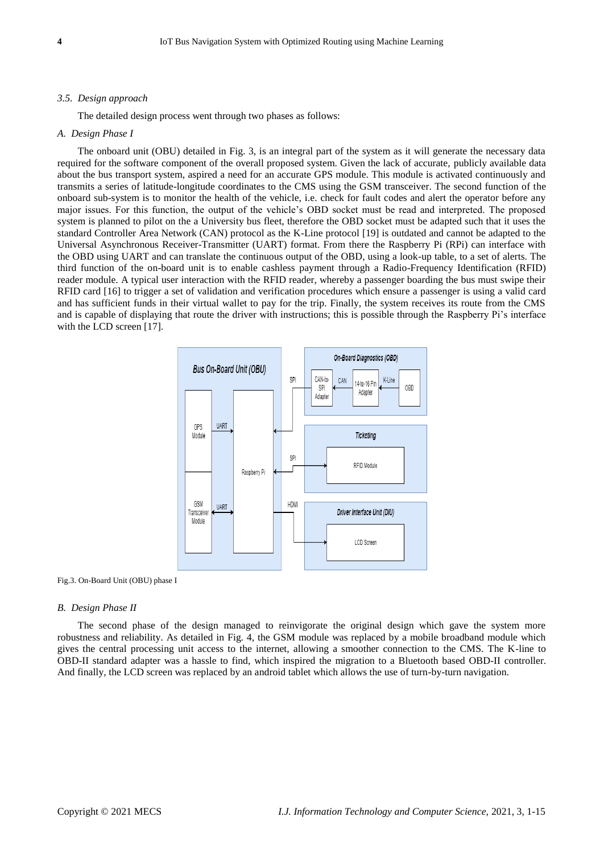## *3.5. Design approach*

The detailed design process went through two phases as follows:

## *A. Design Phase I*

The onboard unit (OBU) detailed in Fig. 3, is an integral part of the system as it will generate the necessary data required for the software component of the overall proposed system. Given the lack of accurate, publicly available data about the bus transport system, aspired a need for an accurate GPS module. This module is activated continuously and transmits a series of latitude-longitude coordinates to the CMS using the GSM transceiver. The second function of the onboard sub-system is to monitor the health of the vehicle, i.e. check for fault codes and alert the operator before any major issues. For this function, the output of the vehicle's OBD socket must be read and interpreted. The proposed system is planned to pilot on the a University bus fleet, therefore the OBD socket must be adapted such that it uses the standard Controller Area Network (CAN) protocol as the K-Line protocol [19] is outdated and cannot be adapted to the Universal Asynchronous Receiver-Transmitter (UART) format. From there the Raspberry Pi (RPi) can interface with the OBD using UART and can translate the continuous output of the OBD, using a look-up table, to a set of alerts. The third function of the on-board unit is to enable cashless payment through a Radio-Frequency Identification (RFID) reader module. A typical user interaction with the RFID reader, whereby a passenger boarding the bus must swipe their RFID card [16] to trigger a set of validation and verification procedures which ensure a passenger is using a valid card and has sufficient funds in their virtual wallet to pay for the trip. Finally, the system receives its route from the CMS and is capable of displaying that route the driver with instructions; this is possible through the Raspberry Pi's interface with the LCD screen [17].





#### *B. Design Phase II*

The second phase of the design managed to reinvigorate the original design which gave the system more robustness and reliability. As detailed in Fig. 4, the GSM module was replaced by a mobile broadband module which gives the central processing unit access to the internet, allowing a smoother connection to the CMS. The K-line to OBD-II standard adapter was a hassle to find, which inspired the migration to a Bluetooth based OBD-II controller. And finally, the LCD screen was replaced by an android tablet which allows the use of turn-by-turn navigation.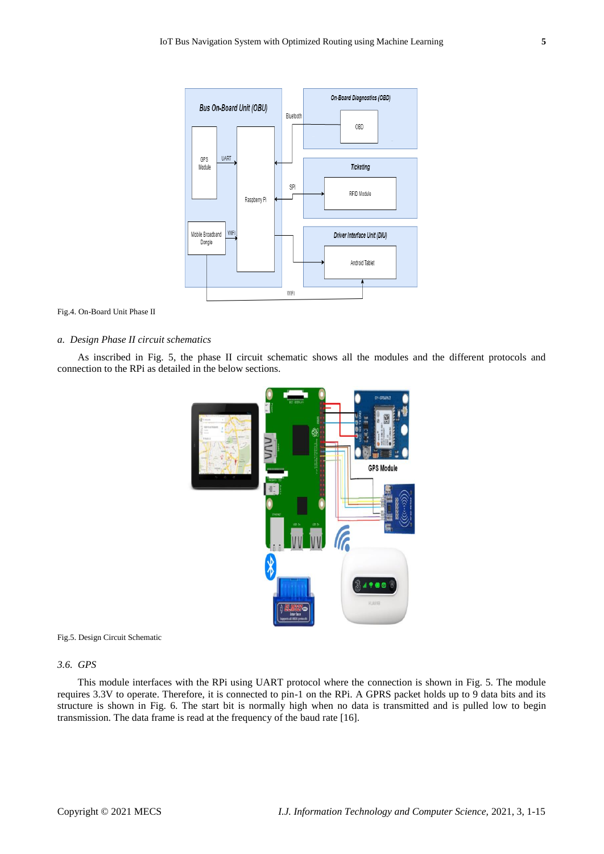

Fig.4. On-Board Unit Phase II

## *a. Design Phase II circuit schematics*

As inscribed in Fig. 5, the phase II circuit schematic shows all the modules and the different protocols and connection to the RPi as detailed in the below sections.



Fig.5. Design Circuit Schematic

## *3.6. GPS*

This module interfaces with the RPi using UART protocol where the connection is shown in Fig. 5. The module requires 3.3V to operate. Therefore, it is connected to pin-1 on the RPi. A GPRS packet holds up to 9 data bits and its structure is shown in Fig. 6. The start bit is normally high when no data is transmitted and is pulled low to begin transmission. The data frame is read at the frequency of the baud rate [16].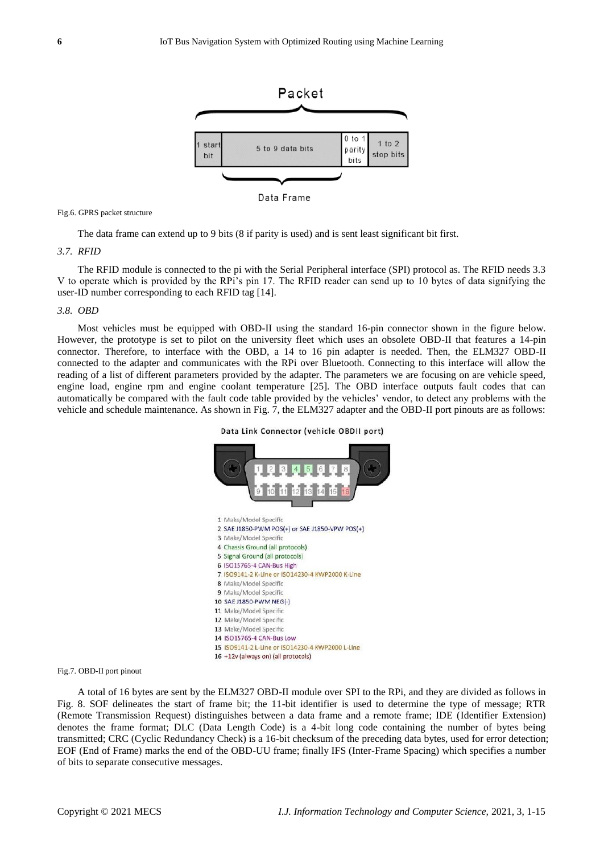

Data Frame

Fig.6. GPRS packet structure

The data frame can extend up to 9 bits (8 if parity is used) and is sent least significant bit first.

## *3.7. RFID*

The RFID module is connected to the pi with the Serial Peripheral interface (SPI) protocol as. The RFID needs 3.3 V to operate which is provided by the RPi's pin 17. The RFID reader can send up to 10 bytes of data signifying the user-ID number corresponding to each RFID tag [14].

## *3.8. OBD*

Most vehicles must be equipped with OBD-II using the standard 16-pin connector shown in the figure below. However, the prototype is set to pilot on the university fleet which uses an obsolete OBD-II that features a 14-pin connector. Therefore, to interface with the OBD, a 14 to 16 pin adapter is needed. Then, the ELM327 OBD-II connected to the adapter and communicates with the RPi over Bluetooth. Connecting to this interface will allow the reading of a list of different parameters provided by the adapter. The parameters we are focusing on are vehicle speed, engine load, engine rpm and engine coolant temperature [25]. The OBD interface outputs fault codes that can automatically be compared with the fault code table provided by the vehicles' vendor, to detect any problems with the vehicle and schedule maintenance. As shown in Fig. 7, the ELM327 adapter and the OBD-II port pinouts are as follows:



## Data Link Connector (vehicle OBDII port)

Fig.7. OBD-II port pinout

A total of 16 bytes are sent by the ELM327 OBD-II module over SPI to the RPi, and they are divided as follows in Fig. 8. SOF delineates the start of frame bit; the 11-bit identifier is used to determine the type of message; RTR (Remote Transmission Request) distinguishes between a data frame and a remote frame; IDE (Identifier Extension) denotes the frame format; DLC (Data Length Code) is a 4-bit long code containing the number of bytes being transmitted; CRC (Cyclic Redundancy Check) is a 16-bit checksum of the preceding data bytes, used for error detection; EOF (End of Frame) marks the end of the OBD-UU frame; finally IFS (Inter-Frame Spacing) which specifies a number of bits to separate consecutive messages.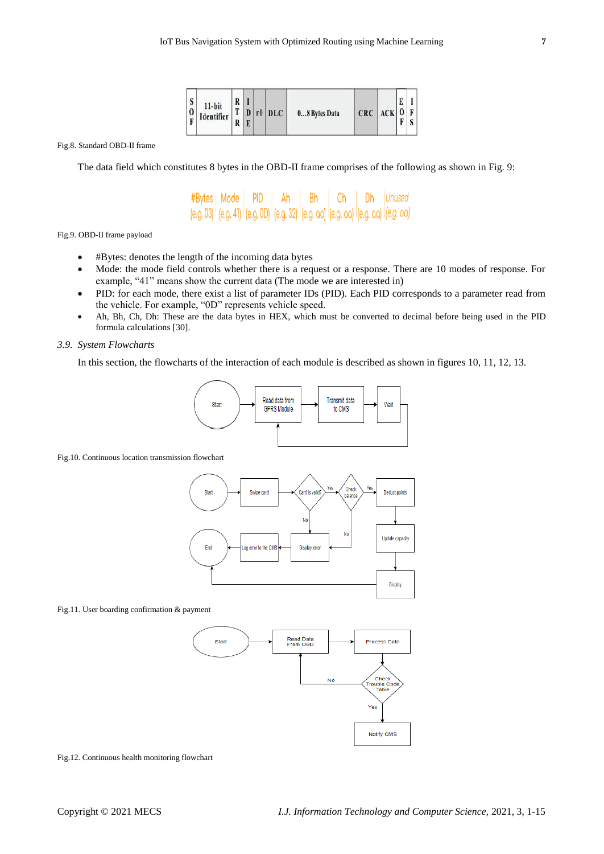| S | $11-bit$<br>$\begin{array}{ c c c c c c } \hline 0 & \text{Identifier} & \text{T} & \text{D} & \text{r0} & \text{DLC} \\ \hline \text{F} & \text{Identifier} & \text{R} & \text{F} & \end{array}$ | R |  |  |  | 08 Bytes Data | $CRC$ $ACK$ $O$ $F$ |  | D. |  |
|---|---------------------------------------------------------------------------------------------------------------------------------------------------------------------------------------------------|---|--|--|--|---------------|---------------------|--|----|--|
|---|---------------------------------------------------------------------------------------------------------------------------------------------------------------------------------------------------|---|--|--|--|---------------|---------------------|--|----|--|

Fig.8. Standard OBD-II frame

The data field which constitutes 8 bytes in the OBD-II frame comprises of the following as shown in Fig. 9:

#Bytes Mode PID Ah Bh Ch Dh Unused (e.g. 03) (e.g. 41) (e.g. 0D) (e.g. 32) (e.g. aa) (e.g. aa) (e.g. aa) (e.g. aa)

Fig.9. OBD-II frame payload

- #Bytes: denotes the length of the incoming data bytes
- Mode: the mode field controls whether there is a request or a response. There are 10 modes of response. For example, "41" means show the current data (The mode we are interested in)
- PID: for each mode, there exist a list of parameter IDs (PID). Each PID corresponds to a parameter read from the vehicle. For example, "0D" represents vehicle speed.
- Ah, Bh, Ch, Dh: These are the data bytes in HEX, which must be converted to decimal before being used in the PID formula calculations [30].

## *3.9. System Flowcharts*

In this section, the flowcharts of the interaction of each module is described as shown in figures 10, 11, 12, 13.



## Fig.10. Continuous location transmission flowchart



## Fig.11. User boarding confirmation & payment



Fig.12. Continuous health monitoring flowchart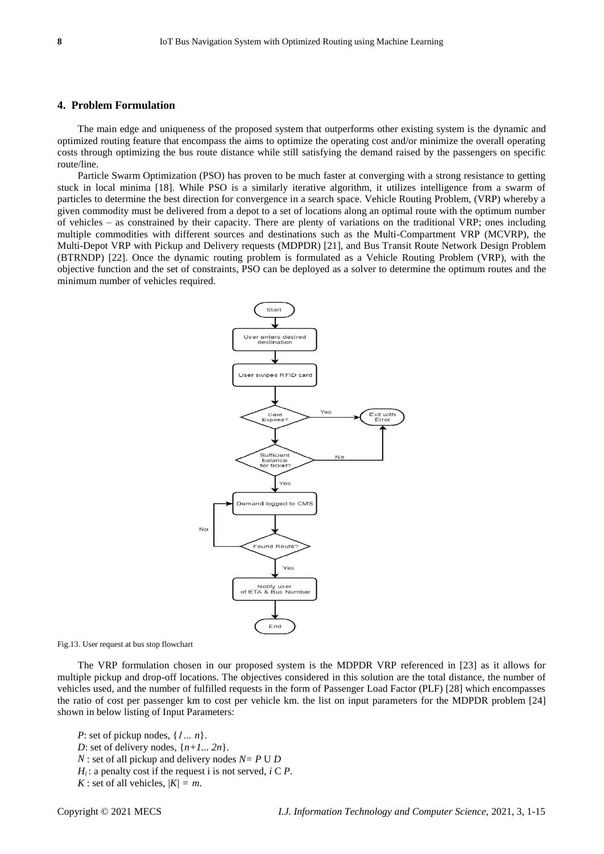## **4. Problem Formulation**

The main edge and uniqueness of the proposed system that outperforms other existing system is the dynamic and optimized routing feature that encompass the aims to optimize the operating cost and/or minimize the overall operating costs through optimizing the bus route distance while still satisfying the demand raised by the passengers on specific route/line.

Particle Swarm Optimization (PSO) has proven to be much faster at converging with a strong resistance to getting stuck in local minima [18]. While PSO is a similarly iterative algorithm, it utilizes intelligence from a swarm of particles to determine the best direction for convergence in a search space. Vehicle Routing Problem, (VRP) whereby a given commodity must be delivered from a depot to a set of locations along an optimal route with the optimum number of vehicles – as constrained by their capacity. There are plenty of variations on the traditional VRP; ones including multiple commodities with different sources and destinations such as the Multi-Compartment VRP (MCVRP), the Multi-Depot VRP with Pickup and Delivery requests (MDPDR) [21], and Bus Transit Route Network Design Problem (BTRNDP) [22]. Once the dynamic routing problem is formulated as a Vehicle Routing Problem (VRP), with the objective function and the set of constraints, PSO can be deployed as a solver to determine the optimum routes and the minimum number of vehicles required.



Fig.13. User request at bus stop flowchart

The VRP formulation chosen in our proposed system is the MDPDR VRP referenced in [23] as it allows for multiple pickup and drop-off locations. The objectives considered in this solution are the total distance, the number of vehicles used, and the number of fulfilled requests in the form of Passenger Load Factor (PLF) [28] which encompasses the ratio of cost per passenger km to cost per vehicle km. the list on input parameters for the MDPDR problem [24] shown in below listing of Input Parameters:

*P*: set of pickup nodes, {*1… n*}. *D*: set of delivery nodes,  $\{n+1... 2n\}$ . *N* : set of all pickup and delivery nodes *N= P* U *D*   $H_i$ : a penalty cost if the request i is not served, *i* C *P*. *K* : set of all vehicles,  $|K| = m$ .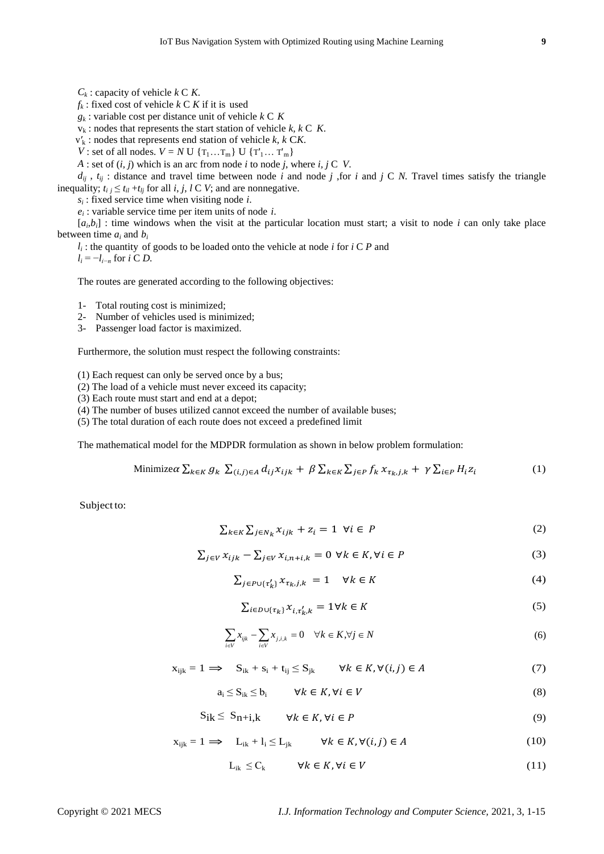$C_k$ : capacity of vehicle  $k \subset K$ .

 $f_k$ : fixed cost of vehicle  $k \subset K$  if it is used

*gk* : variable cost per distance unit of vehicle *k* C *K*

 $v_k$ : nodes that represents the start station of vehicle  $k, k \in K$ .

v*′*<sup>k</sup> : nodes that represents end station of vehicle *k, k* C*K*.

*V* : set of all nodes. *V* = *N* U { $T_1...T_m$ } U { $T'_1...T'_m$ }

*A* : set of (*i, j*) which is an arc from node *i* to node *j*, where *i, j* C *V*.

 $d_{ij}$ ,  $t_{ij}$ : distance and travel time between node *i* and node *j*, for *i* and *j* C *N*. Travel times satisfy the triangle inequality;  $t_{i j} \leq t_{i l} + t_{l j}$  for all *i*, *j*, *l* C *V*; and are nonnegative.

*si* : fixed service time when visiting node *i*.

*ei* : variable service time per item units of node *i*.

 $[a_i, b_i]$ : time windows when the visit at the particular location must start; a visit to node *i* can only take place between time  $a_i$  and  $b_i$ 

*l<sup>i</sup>* : the quantity of goods to be loaded onto the vehicle at node *i* for *i* C *P* and  $l_i = -l_{i-n}$  for *i* C *D*.

The routes are generated according to the following objectives:

1- Total routing cost is minimized;

2- Number of vehicles used is minimized;

3- Passenger load factor is maximized.

Furthermore, the solution must respect the following constraints:

(1) Each request can only be served once by a bus;

(2) The load of a vehicle must never exceed its capacity;

(3) Each route must start and end at a depot;

(4) The number of buses utilized cannot exceed the number of available buses;

(5) The total duration of each route does not exceed a predefined limit

The mathematical model for the MDPDR formulation as shown in below problem formulation:

Minimize 
$$
\alpha \sum_{k \in K} g_k \sum_{(i,j) \in A} d_{ij} x_{ijk} + \beta \sum_{k \in K} \sum_{j \in P} f_k x_{\tau_k, j, k} + \gamma \sum_{i \in P} H_i z_i
$$
 (1)

Subject to:

$$
\sum_{k \in K} \sum_{j \in N_k} x_{ijk} + z_i = 1 \quad \forall i \in P \tag{2}
$$

$$
\sum_{j \in V} x_{ijk} - \sum_{j \in V} x_{i, n+i, k} = 0 \ \forall k \in K, \forall i \in P
$$
 (3)

$$
\sum_{j \in P \cup \{\tau'_k\}} x_{\tau_k, j, k} = 1 \quad \forall k \in K \tag{4}
$$

$$
\sum_{i \in D \cup \{\tau_k\}} x_{i,\tau'_k,k} = 1 \forall k \in K
$$
\n<sup>(5)</sup>

$$
\sum_{i \in V} x_{ijk} - \sum_{i \in V} x_{j,i,k} = 0 \quad \forall k \in K, \forall j \in N
$$
 (6)

$$
x_{ijk} = 1 \implies S_{ik} + s_i + t_{ij} \leq S_{jk} \qquad \forall k \in K, \forall (i, j) \in A
$$
 (7)

 $a_i \leq S_{ik} \leq b_i$   $\forall k \in K, \forall i \in V$  (8)

$$
S_{ik} \le S_{n+i,k} \qquad \forall k \in K, \forall i \in P \tag{9}
$$

$$
x_{ijk} = 1 \implies L_{ik} + l_i \le L_{jk} \qquad \forall k \in K, \forall (i, j) \in A
$$
 (10)

$$
L_{ik} \leq C_k \qquad \forall k \in K, \forall i \in V \tag{11}
$$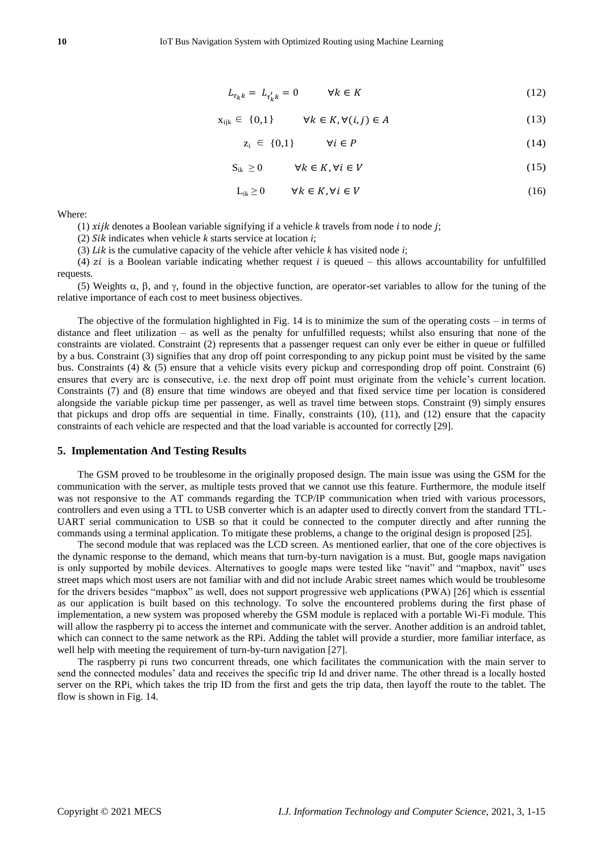$$
L_{\tau_k k} = L_{\tau'_k k} = 0 \qquad \forall k \in K \tag{12}
$$

$$
x_{ijk} \in \{0,1\} \qquad \forall k \in K, \forall (i,j) \in A \tag{13}
$$

$$
z_i \in \{0,1\} \qquad \forall i \in P \tag{14}
$$

$$
S_{ik} \ge 0 \qquad \forall k \in K, \forall i \in V \tag{15}
$$

$$
L_{ik} \ge 0 \qquad \forall k \in K, \forall i \in V \tag{16}
$$

Where:

(1)  $xiik$  denotes a Boolean variable signifying if a vehicle  $k$  travels from node  $i$  to node  $j$ ;

(2)  $Sik$  indicates when vehicle  $k$  starts service at location  $i$ ;

(3)  $Lik$  is the cumulative capacity of the vehicle after vehicle  $k$  has visited node  $i$ ;

(4)  $zi$  is a Boolean variable indicating whether request  $i$  is queued – this allows accountability for unfulfilled requests.

(5) Weights  $\alpha$ ,  $\beta$ , and  $\gamma$ , found in the objective function, are operator-set variables to allow for the tuning of the relative importance of each cost to meet business objectives.

The objective of the formulation highlighted in Fig. 14 is to minimize the sum of the operating costs – in terms of distance and fleet utilization – as well as the penalty for unfulfilled requests; whilst also ensuring that none of the constraints are violated. Constraint (2) represents that a passenger request can only ever be either in queue or fulfilled by a bus. Constraint (3) signifies that any drop off point corresponding to any pickup point must be visited by the same bus. Constraints (4)  $\&$  (5) ensure that a vehicle visits every pickup and corresponding drop off point. Constraint (6) ensures that every arc is consecutive, i.e. the next drop off point must originate from the vehicle's current location. Constraints (7) and (8) ensure that time windows are obeyed and that fixed service time per location is considered alongside the variable pickup time per passenger, as well as travel time between stops. Constraint (9) simply ensures that pickups and drop offs are sequential in time. Finally, constraints (10), (11), and (12) ensure that the capacity constraints of each vehicle are respected and that the load variable is accounted for correctly [29].

## **5. Implementation And Testing Results**

The GSM proved to be troublesome in the originally proposed design. The main issue was using the GSM for the communication with the server, as multiple tests proved that we cannot use this feature. Furthermore, the module itself was not responsive to the AT commands regarding the TCP/IP communication when tried with various processors, controllers and even using a TTL to USB converter which is an adapter used to directly convert from the standard TTL-UART serial communication to USB so that it could be connected to the computer directly and after running the commands using a terminal application. To mitigate these problems, a change to the original design is proposed [25].

The second module that was replaced was the LCD screen. As mentioned earlier, that one of the core objectives is the dynamic response to the demand, which means that turn-by-turn navigation is a must. But, google maps navigation is only supported by mobile devices. Alternatives to google maps were tested like "navit" and "mapbox, navit" uses street maps which most users are not familiar with and did not include Arabic street names which would be troublesome for the drivers besides "mapbox" as well, does not support progressive web applications (PWA) [26] which is essential as our application is built based on this technology. To solve the encountered problems during the first phase of implementation, a new system was proposed whereby the GSM module is replaced with a portable Wi-Fi module. This will allow the raspberry pi to access the internet and communicate with the server. Another addition is an android tablet, which can connect to the same network as the RPi. Adding the tablet will provide a sturdier, more familiar interface, as well help with meeting the requirement of turn-by-turn navigation [27].

The raspberry pi runs two concurrent threads, one which facilitates the communication with the main server to send the connected modules' data and receives the specific trip Id and driver name. The other thread is a locally hosted server on the RPi, which takes the trip ID from the first and gets the trip data, then layoff the route to the tablet. The flow is shown in Fig. 14.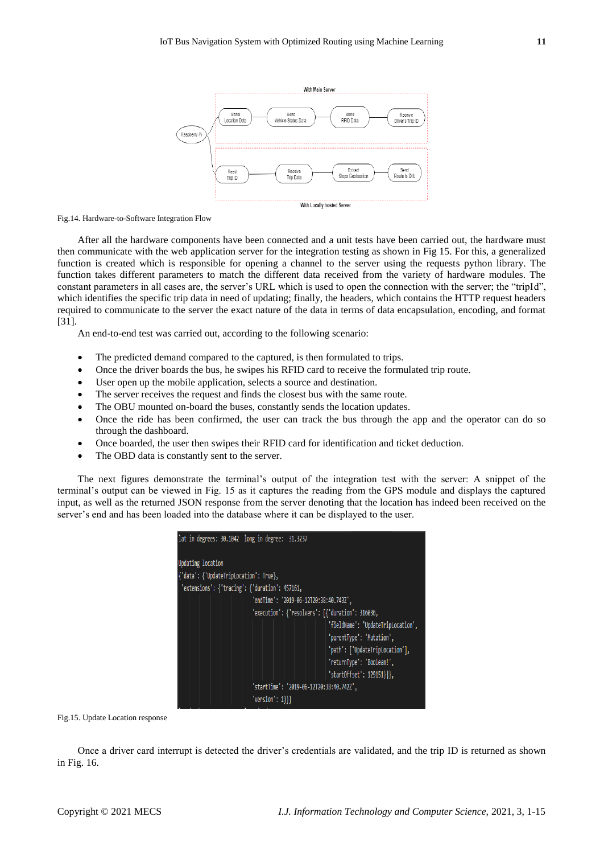

Fig.14. Hardware-to-Software Integration Flow

After all the hardware components have been connected and a unit tests have been carried out, the hardware must then communicate with the web application server for the integration testing as shown in Fig 15. For this, a generalized function is created which is responsible for opening a channel to the server using the requests python library. The function takes different parameters to match the different data received from the variety of hardware modules. The constant parameters in all cases are, the server's URL which is used to open the connection with the server; the "tripId", which identifies the specific trip data in need of updating; finally, the headers, which contains the HTTP request headers required to communicate to the server the exact nature of the data in terms of data encapsulation, encoding, and format [31].

An end-to-end test was carried out, according to the following scenario:

- The predicted demand compared to the captured, is then formulated to trips.
- Once the driver boards the bus, he swipes his RFID card to receive the formulated trip route.
- User open up the mobile application, selects a source and destination.
- The server receives the request and finds the closest bus with the same route.
- The OBU mounted on-board the buses, constantly sends the location updates.
- Once the ride has been confirmed, the user can track the bus through the app and the operator can do so through the dashboard.
- Once boarded, the user then swipes their RFID card for identification and ticket deduction.
- The OBD data is constantly sent to the server.

The next figures demonstrate the terminal's output of the integration test with the server: A snippet of the terminal's output can be viewed in Fig. 15 as it captures the reading from the GPS module and displays the captured input, as well as the returned JSON response from the server denoting that the location has indeed been received on the server's end and has been loaded into the database where it can be displayed to the user.

| lat in degrees: 30.1042 long in degree: 31.3237  |                                    |  |  |  |  |  |  |  |
|--------------------------------------------------|------------------------------------|--|--|--|--|--|--|--|
| Updating location                                |                                    |  |  |  |  |  |  |  |
| {'data': {'UpdateTripLocation': True},           |                                    |  |  |  |  |  |  |  |
| 'extensions': {'tracing': {'duration': 457161,   |                                    |  |  |  |  |  |  |  |
| 'endTime': '2019-06-12T20:38:40.743Z',           |                                    |  |  |  |  |  |  |  |
| 'execution': {'resolvers': [{'duration': 316036, |                                    |  |  |  |  |  |  |  |
|                                                  | 'fieldName': 'UpdateTripLocation', |  |  |  |  |  |  |  |
|                                                  | 'parentType': 'Mutation',          |  |  |  |  |  |  |  |
|                                                  | 'path': ['UpdateTripLocation'],    |  |  |  |  |  |  |  |
|                                                  | 'returnType': 'Boolean!',          |  |  |  |  |  |  |  |
|                                                  | 'startOffset': 129151}]},          |  |  |  |  |  |  |  |
| 'startTime': '2019-06-12T20:38:40.742Z',         |                                    |  |  |  |  |  |  |  |
| $'version': 1}}$ }}                              |                                    |  |  |  |  |  |  |  |

Fig.15. Update Location response

Once a driver card interrupt is detected the driver's credentials are validated, and the trip ID is returned as shown in Fig. 16.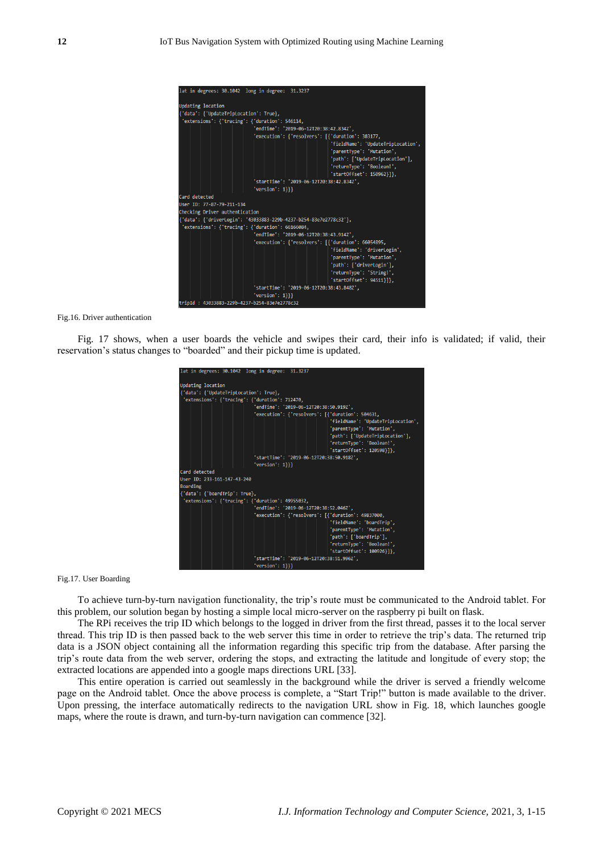| lat in degrees: 30.1042 long in degree: 31.3237                   |                                                    |  |  |  |  |  |  |  |
|-------------------------------------------------------------------|----------------------------------------------------|--|--|--|--|--|--|--|
| <b>Updating location</b>                                          |                                                    |  |  |  |  |  |  |  |
| {'data': {'UpdateTripLocation': True},                            |                                                    |  |  |  |  |  |  |  |
| 'extensions': {'tracing': {'duration': 546114,                    |                                                    |  |  |  |  |  |  |  |
|                                                                   | 'endTime': '2019-06-12T20:38:42.834Z',             |  |  |  |  |  |  |  |
|                                                                   | 'execution': { 'resolvers': [{'duration': 383177,  |  |  |  |  |  |  |  |
|                                                                   | 'fieldName': 'UpdateTripLocation',                 |  |  |  |  |  |  |  |
|                                                                   | 'parentType': 'Mutation',                          |  |  |  |  |  |  |  |
|                                                                   | 'path': ['UpdateTripLocation'],                    |  |  |  |  |  |  |  |
|                                                                   | 'returnType': 'Boolean!',                          |  |  |  |  |  |  |  |
|                                                                   | 'startOffset': 150962}]},                          |  |  |  |  |  |  |  |
|                                                                   | 'startTime': '2019-06-12T20:38:42.834Z',           |  |  |  |  |  |  |  |
| $'version': 1}}$ }}                                               |                                                    |  |  |  |  |  |  |  |
| Card detected                                                     |                                                    |  |  |  |  |  |  |  |
| User ID: 77-87-79-211-134                                         |                                                    |  |  |  |  |  |  |  |
| Checking Driver authentication                                    |                                                    |  |  |  |  |  |  |  |
| {'data': {'driverLogin': '43033883-229b-4237-b254-83e7e2778c32'}, |                                                    |  |  |  |  |  |  |  |
| 'extensions': {'tracing': {'duration': 66166084,                  |                                                    |  |  |  |  |  |  |  |
| 'endTime': '2019-06-12T20:38:43.914Z',                            |                                                    |  |  |  |  |  |  |  |
|                                                                   | 'execution': {'resolvers': [{'duration': 66054895, |  |  |  |  |  |  |  |
|                                                                   | 'fieldName': 'driverLogin',                        |  |  |  |  |  |  |  |
|                                                                   | 'parentType': 'Mutation',                          |  |  |  |  |  |  |  |
|                                                                   | 'path': ['driverLogin'],                           |  |  |  |  |  |  |  |
|                                                                   | 'returnType': 'String!',                           |  |  |  |  |  |  |  |
|                                                                   | $'startOffset': 94511]]$ ,                         |  |  |  |  |  |  |  |
|                                                                   | 'startTime': '2019-06-12T20:38:43.848Z',           |  |  |  |  |  |  |  |
| $'version': 1}}$ }}                                               |                                                    |  |  |  |  |  |  |  |
| thinint . Adaptor cooccach . hird . hinint                        |                                                    |  |  |  |  |  |  |  |

Fig.16. Driver authentication

Fig. 17 shows, when a user boards the vehicle and swipes their card, their info is validated; if valid, their reservation's status changes to "boarded" and their pickup time is updated.



Fig.17. User Boarding

To achieve turn-by-turn navigation functionality, the trip's route must be communicated to the Android tablet. For this problem, our solution began by hosting a simple local micro-server on the raspberry pi built on flask.

The RPi receives the trip ID which belongs to the logged in driver from the first thread, passes it to the local server thread. This trip ID is then passed back to the web server this time in order to retrieve the trip's data. The returned trip data is a JSON object containing all the information regarding this specific trip from the database. After parsing the trip's route data from the web server, ordering the stops, and extracting the latitude and longitude of every stop; the extracted locations are appended into a google maps directions URL [33].

This entire operation is carried out seamlessly in the background while the driver is served a friendly welcome page on the Android tablet. Once the above process is complete, a "Start Trip!" button is made available to the driver. Upon pressing, the interface automatically redirects to the navigation URL show in Fig. 18, which launches google maps, where the route is drawn, and turn-by-turn navigation can commence [32].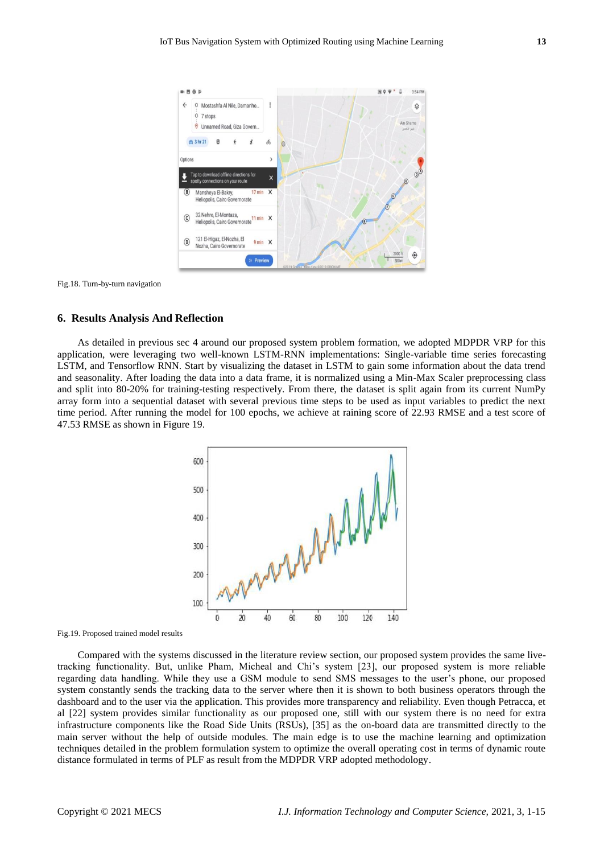

Fig.18. Turn-by-turn navigation

## **6. Results Analysis And Reflection**

As detailed in previous sec 4 around our proposed system problem formation, we adopted MDPDR VRP for this application, were leveraging two well-known LSTM-RNN implementations: Single-variable time series forecasting LSTM, and Tensorflow RNN. Start by visualizing the dataset in LSTM to gain some information about the data trend and seasonality. After loading the data into a data frame, it is normalized using a Min-Max Scaler preprocessing class and split into 80-20% for training-testing respectively. From there, the dataset is split again from its current NumPy array form into a sequential dataset with several previous time steps to be used as input variables to predict the next time period. After running the model for 100 epochs, we achieve at raining score of 22.93 RMSE and a test score of 47.53 RMSE as shown in Figure 19.



Fig.19. Proposed trained model results

Compared with the systems discussed in the literature review section, our proposed system provides the same livetracking functionality. But, unlike Pham, Micheal and Chi's system [23], our proposed system is more reliable regarding data handling. While they use a GSM module to send SMS messages to the user's phone, our proposed system constantly sends the tracking data to the server where then it is shown to both business operators through the dashboard and to the user via the application. This provides more transparency and reliability. Even though Petracca, et al [22] system provides similar functionality as our proposed one, still with our system there is no need for extra infrastructure components like the Road Side Units (RSUs), [35] as the on-board data are transmitted directly to the main server without the help of outside modules. The main edge is to use the machine learning and optimization techniques detailed in the problem formulation system to optimize the overall operating cost in terms of dynamic route distance formulated in terms of PLF as result from the MDPDR VRP adopted methodology.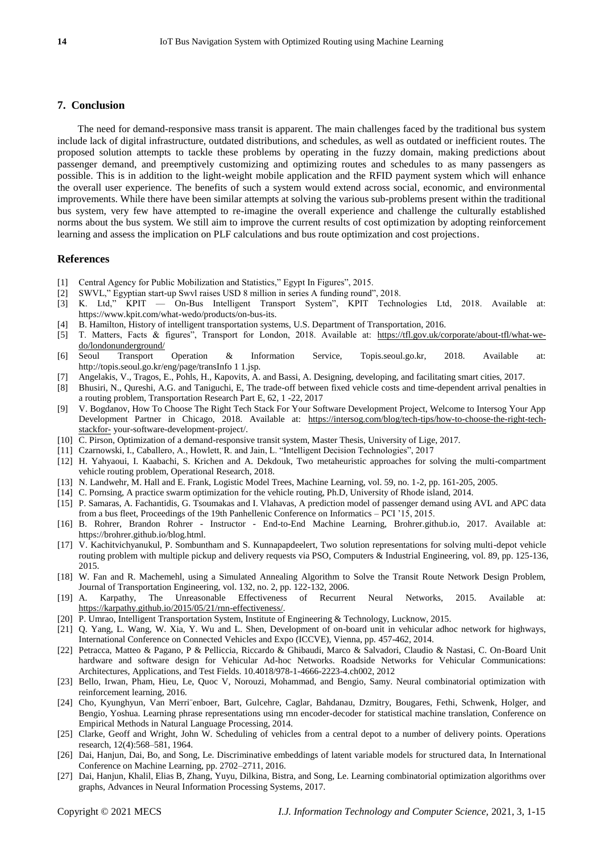## **7. Conclusion**

The need for demand-responsive mass transit is apparent. The main challenges faced by the traditional bus system include lack of digital infrastructure, outdated distributions, and schedules, as well as outdated or inefficient routes. The proposed solution attempts to tackle these problems by operating in the fuzzy domain, making predictions about passenger demand, and preemptively customizing and optimizing routes and schedules to as many passengers as possible. This is in addition to the light-weight mobile application and the RFID payment system which will enhance the overall user experience. The benefits of such a system would extend across social, economic, and environmental improvements. While there have been similar attempts at solving the various sub-problems present within the traditional bus system, very few have attempted to re-imagine the overall experience and challenge the culturally established norms about the bus system. We still aim to improve the current results of cost optimization by adopting reinforcement learning and assess the implication on PLF calculations and bus route optimization and cost projections.

## **References**

- [1] Central Agency for Public Mobilization and Statistics," Egypt In Figures", 2015.
- [2] SWVL," Egyptian start-up Swvl raises USD 8 million in series A funding round", 2018.
- [3] K. Ltd," KPIT On-Bus Intelligent Transport System", KPIT Technologies Ltd, 2018. Available at: https://www.kpit.com/what-wedo/products/on-bus-its.
- [4] B. Hamilton, History of intelligent transportation systems, U.S. Department of Transportation, 2016.
- [5] T. Matters, Facts & figures", Transport for London, 2018. Available at: [https://tfl.gov.uk/corporate/about-tfl/what-we](https://tfl.gov.uk/corporate/about-tfl/what-we-do/londonunderground/)[do/londonunderground/](https://tfl.gov.uk/corporate/about-tfl/what-we-do/londonunderground/)
- [6] Seoul Transport Operation & Information Service, Topis.seoul.go.kr, 2018. Available at: http://topis.seoul.go.kr/eng/page/transInfo 1 1.jsp.
- [7] Angelakis, V., Tragos, E., Pohls, H., Kapovits, A. and Bassi, A. Designing, developing, and facilitating smart cities, 2017.
- [8] Bhusiri, N., Qureshi, A.G. and Taniguchi, E, The trade-off between fixed vehicle costs and time-dependent arrival penalties in a routing problem, Transportation Research Part E, 62, 1 -22, 2017
- [9] V. Bogdanov, How To Choose The Right Tech Stack For Your Software Development Project, Welcome to Intersog Your App Development Partner in Chicago, 2018. Available at: [https://intersog.com/blog/tech-tips/how-to-choose-the-right-tech](https://intersog.com/blog/tech-tips/how-to-choose-the-right-tech-stackfor-)[stackfor-](https://intersog.com/blog/tech-tips/how-to-choose-the-right-tech-stackfor-) your-software-development-project/.
- [10] C. Pirson, Optimization of a demand-responsive transit system, Master Thesis, University of Lige, 2017.
- [11] Czarnowski, I., Caballero, A., Howlett, R. and Jain, L. "Intelligent Decision Technologies", 2017
- [12] H. Yahyaoui, I. Kaabachi, S. Krichen and A. Dekdouk, Two metaheuristic approaches for solving the multi-compartment vehicle routing problem, Operational Research, 2018.
- [13] N. Landwehr, M. Hall and E. Frank, Logistic Model Trees, Machine Learning, vol. 59, no. 1-2, pp. 161-205, 2005.
- [14] C. Pornsing, A practice swarm optimization for the vehicle routing, Ph.D, University of Rhode island, 2014.
- [15] P. Samaras, A. Fachantidis, G. Tsoumakas and I. Vlahavas, A prediction model of passenger demand using AVL and APC data from a bus fleet, Proceedings of the 19th Panhellenic Conference on Informatics – PCI '15, 2015.
- [16] B. Rohrer, Brandon Rohrer Instructor End-to-End Machine Learning, Brohrer.github.io, 2017. Available at: https://brohrer.github.io/blog.html.
- [17] V. Kachitvichyanukul, P. Sombuntham and S. Kunnapapdeelert, Two solution representations for solving multi-depot vehicle routing problem with multiple pickup and delivery requests via PSO, Computers & Industrial Engineering, vol. 89, pp. 125-136, 2015.
- [18] W. Fan and R. Machemehl, using a Simulated Annealing Algorithm to Solve the Transit Route Network Design Problem, Journal of Transportation Engineering, vol. 132, no. 2, pp. 122-132, 2006.
- [19] A. Karpathy, The Unreasonable Effectiveness of Recurrent Neural Networks, 2015. Available at: [https://karpathy.github.io/2015/05/21/rnn-effectiveness/.](https://karpathy.github.io/2015/05/21/rnn-effectiveness/)
- [20] P. Umrao, Intelligent Transportation System, Institute of Engineering & Technology, Lucknow, 2015.
- [21] Q. Yang, L. Wang, W. Xia, Y. Wu and L. Shen, Development of on-board unit in vehicular adhoc network for highways, International Conference on Connected Vehicles and Expo (ICCVE), Vienna, pp. 457-462, 2014.
- [22] Petracca, Matteo & Pagano, P & Pelliccia, Riccardo & Ghibaudi, Marco & Salvadori, Claudio & Nastasi, C. On-Board Unit hardware and software design for Vehicular Ad-hoc Networks. Roadside Networks for Vehicular Communications: Architectures, Applications, and Test Fields. 10.4018/978-1-4666-2223-4.ch002, 2012
- [23] Bello, Irwan, Pham, Hieu, Le, Quoc V, Norouzi, Mohammad, and Bengio, Samy. Neural combinatorial optimization with reinforcement learning, 2016.
- [24] Cho, Kyunghyun, Van Merri¨enboer, Bart, Gulcehre, Caglar, Bahdanau, Dzmitry, Bougares, Fethi, Schwenk, Holger, and Bengio, Yoshua. Learning phrase representations using rnn encoder-decoder for statistical machine translation, Conference on Empirical Methods in Natural Language Processing, 2014.
- [25] Clarke, Geoff and Wright, John W. Scheduling of vehicles from a central depot to a number of delivery points. Operations research, 12(4):568–581, 1964.
- [26] Dai, Hanjun, Dai, Bo, and Song, Le. Discriminative embeddings of latent variable models for structured data, In International Conference on Machine Learning, pp. 2702–2711, 2016.
- [27] Dai, Hanjun, Khalil, Elias B, Zhang, Yuyu, Dilkina, Bistra, and Song, Le. Learning combinatorial optimization algorithms over graphs, Advances in Neural Information Processing Systems, 2017.